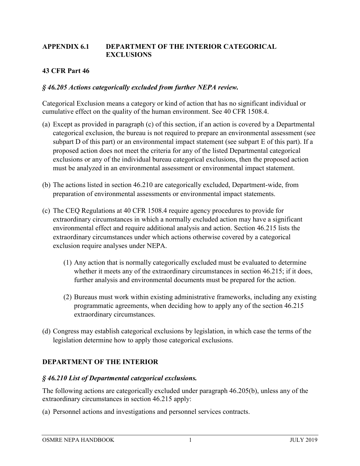### **APPENDIX 6.1 DEPARTMENT OF THE INTERIOR CATEGORICAL EXCLUSIONS**

# **43 CFR Part 46**

### *§ 46.205 Actions categorically excluded from further NEPA review.*

Categorical Exclusion means a category or kind of action that has no significant individual or cumulative effect on the quality of the human environment. See 40 CFR 1508.4.

- (a) Except as provided in paragraph (c) of this section, if an action is covered by a Departmental categorical exclusion, the bureau is not required to prepare an environmental assessment (see subpart D of this part) or an environmental impact statement (see subpart E of this part). If a proposed action does not meet the criteria for any of the listed Departmental categorical exclusions or any of the individual bureau categorical exclusions, then the proposed action must be analyzed in an environmental assessment or environmental impact statement.
- (b) The actions listed in section 46.210 are categorically excluded, Department-wide, from preparation of environmental assessments or environmental impact statements.
- (c) The CEQ Regulations at 40 CFR 1508.4 require agency procedures to provide for extraordinary circumstances in which a normally excluded action may have a significant environmental effect and require additional analysis and action. Section 46.215 lists the extraordinary circumstances under which actions otherwise covered by a categorical exclusion require analyses under NEPA.
	- (1) Any action that is normally categorically excluded must be evaluated to determine whether it meets any of the extraordinary circumstances in section 46.215; if it does, further analysis and environmental documents must be prepared for the action.
	- (2) Bureaus must work within existing administrative frameworks, including any existing programmatic agreements, when deciding how to apply any of the section 46.215 extraordinary circumstances.
- (d) Congress may establish categorical exclusions by legislation, in which case the terms of the legislation determine how to apply those categorical exclusions.

# **DEPARTMENT OF THE INTERIOR**

#### *§ 46.210 List of Departmental categorical exclusions.*

The following actions are categorically excluded under paragraph 46.205(b), unless any of the extraordinary circumstances in section 46.215 apply:

(a) Personnel actions and investigations and personnel services contracts.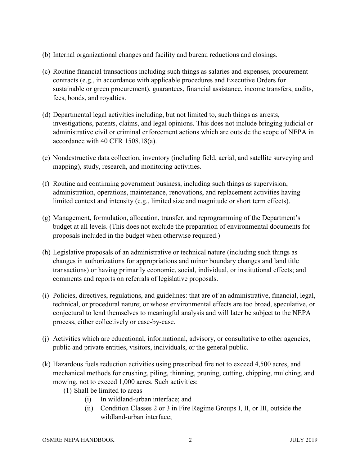- (b) Internal organizational changes and facility and bureau reductions and closings.
- (c) Routine financial transactions including such things as salaries and expenses, procurement contracts (e.g., in accordance with applicable procedures and Executive Orders for sustainable or green procurement), guarantees, financial assistance, income transfers, audits, fees, bonds, and royalties.
- (d) Departmental legal activities including, but not limited to, such things as arrests, investigations, patents, claims, and legal opinions. This does not include bringing judicial or administrative civil or criminal enforcement actions which are outside the scope of NEPA in accordance with 40 CFR 1508.18(a).
- (e) Nondestructive data collection, inventory (including field, aerial, and satellite surveying and mapping), study, research, and monitoring activities.
- (f) Routine and continuing government business, including such things as supervision, administration, operations, maintenance, renovations, and replacement activities having limited context and intensity (e.g., limited size and magnitude or short term effects).
- (g) Management, formulation, allocation, transfer, and reprogramming of the Department's budget at all levels. (This does not exclude the preparation of environmental documents for proposals included in the budget when otherwise required.)
- (h) Legislative proposals of an administrative or technical nature (including such things as changes in authorizations for appropriations and minor boundary changes and land title transactions) or having primarily economic, social, individual, or institutional effects; and comments and reports on referrals of legislative proposals.
- (i) Policies, directives, regulations, and guidelines: that are of an administrative, financial, legal, technical, or procedural nature; or whose environmental effects are too broad, speculative, or conjectural to lend themselves to meaningful analysis and will later be subject to the NEPA process, either collectively or case-by-case.
- (j) Activities which are educational, informational, advisory, or consultative to other agencies, public and private entities, visitors, individuals, or the general public.
- (k) Hazardous fuels reduction activities using prescribed fire not to exceed 4,500 acres, and mechanical methods for crushing, piling, thinning, pruning, cutting, chipping, mulching, and mowing, not to exceed 1,000 acres. Such activities:
	- (1) Shall be limited to areas—
		- (i) In wildland-urban interface; and
		- (ii) Condition Classes 2 or 3 in Fire Regime Groups I, II, or III, outside the wildland-urban interface;